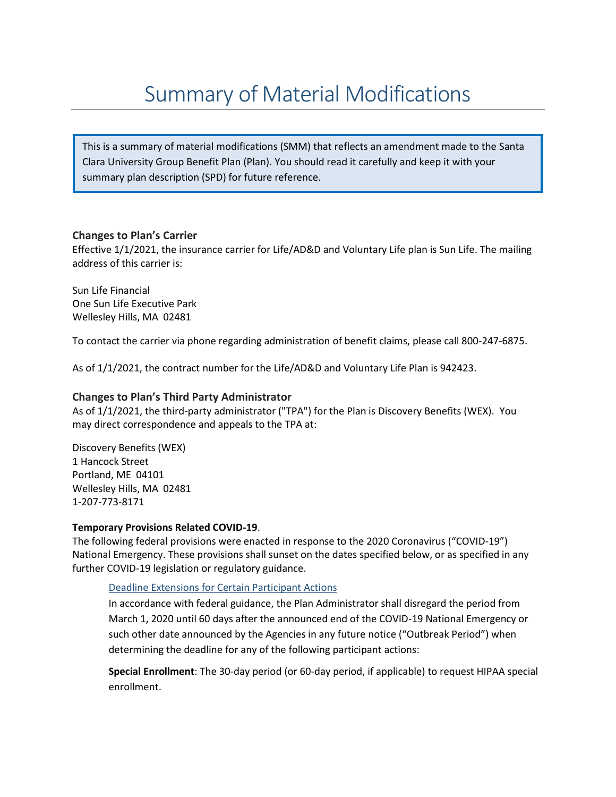This is a summary of material modifications (SMM) that reflects an amendment made to the Santa Clara University Group Benefit Plan (Plan). You should read it carefully and keep it with your summary plan description (SPD) for future reference.

# **Changes to Plan's Carrier**

Effective 1/1/2021, the insurance carrier for Life/AD&D and Voluntary Life plan is Sun Life. The mailing address of this carrier is:

Sun Life Financial One Sun Life Executive Park Wellesley Hills, MA 02481

To contact the carrier via phone regarding administration of benefit claims, please call 800-247-6875.

As of 1/1/2021, the contract number for the Life/AD&D and Voluntary Life Plan is 942423.

## **Changes to Plan's Third Party Administrator**

As of 1/1/2021, the third-party administrator ("TPA") for the Plan is Discovery Benefits (WEX). You may direct correspondence and appeals to the TPA at:

Discovery Benefits (WEX) 1 Hancock Street Portland, ME 04101 Wellesley Hills, MA 02481 1-207-773-8171

## **Temporary Provisions Related COVID-19**.

The following federal provisions were enacted in response to the 2020 Coronavirus ("COVID-19") National Emergency. These provisions shall sunset on the dates specified below, or as specified in any further COVID-19 legislation or regulatory guidance.

Deadline Extensions for Certain Participant Actions

In accordance with federal guidance, the Plan Administrator shall disregard the period from March 1, 2020 until 60 days after the announced end of the COVID-19 National Emergency or such other date announced by the Agencies in any future notice ("Outbreak Period") when determining the deadline for any of the following participant actions:

**Special Enrollment**: The 30-day period (or 60-day period, if applicable) to request HIPAA special enrollment.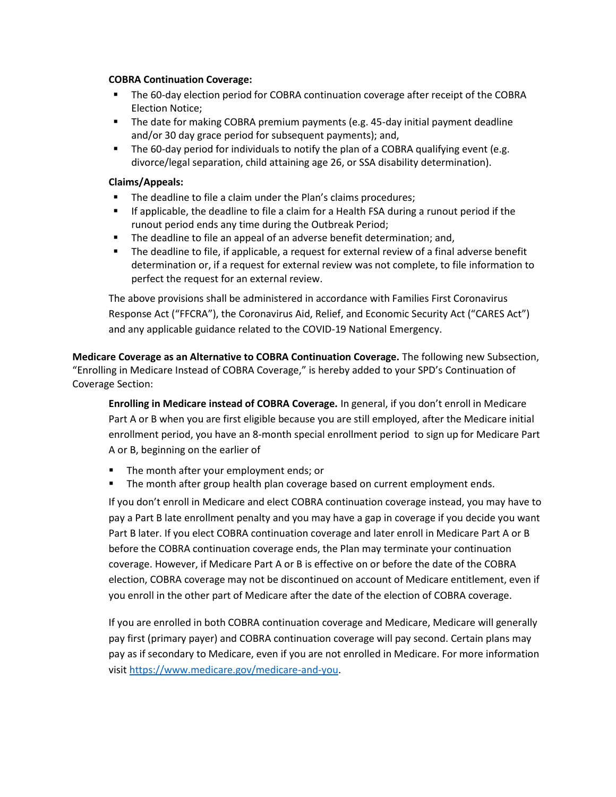### **COBRA Continuation Coverage:**

- The 60-day election period for COBRA continuation coverage after receipt of the COBRA Election Notice;
- The date for making COBRA premium payments (e.g. 45-day initial payment deadline and/or 30 day grace period for subsequent payments); and,
- The 60-day period for individuals to notify the plan of a COBRA qualifying event (e.g. divorce/legal separation, child attaining age 26, or SSA disability determination).

### **Claims/Appeals:**

- The deadline to file a claim under the Plan's claims procedures;
- If applicable, the deadline to file a claim for a Health FSA during a runout period if the runout period ends any time during the Outbreak Period;
- The deadline to file an appeal of an adverse benefit determination; and,
- The deadline to file, if applicable, a request for external review of a final adverse benefit determination or, if a request for external review was not complete, to file information to perfect the request for an external review.

The above provisions shall be administered in accordance with Families First Coronavirus Response Act ("FFCRA"), the Coronavirus Aid, Relief, and Economic Security Act ("CARES Act") and any applicable guidance related to the COVID-19 National Emergency.

**Medicare Coverage as an Alternative to COBRA Continuation Coverage.** The following new Subsection, "Enrolling in Medicare Instead of COBRA Coverage," is hereby added to your SPD's Continuation of Coverage Section:

**Enrolling in Medicare instead of COBRA Coverage.** In general, if you don't enroll in Medicare Part A or B when you are first eligible because you are still employed, after the Medicare initial enrollment period, you have an 8-month special enrollment period to sign up for Medicare Part A or B, beginning on the earlier of

- The month after your employment ends; or
- The month after group health plan coverage based on current employment ends.

If you don't enroll in Medicare and elect COBRA continuation coverage instead, you may have to pay a Part B late enrollment penalty and you may have a gap in coverage if you decide you want Part B later. If you elect COBRA continuation coverage and later enroll in Medicare Part A or B before the COBRA continuation coverage ends, the Plan may terminate your continuation coverage. However, if Medicare Part A or B is effective on or before the date of the COBRA election, COBRA coverage may not be discontinued on account of Medicare entitlement, even if you enroll in the other part of Medicare after the date of the election of COBRA coverage.

If you are enrolled in both COBRA continuation coverage and Medicare, Medicare will generally pay first (primary payer) and COBRA continuation coverage will pay second. Certain plans may pay as if secondary to Medicare, even if you are not enrolled in Medicare. For more information visit https://www.medicare.gov/medicare-and-you.